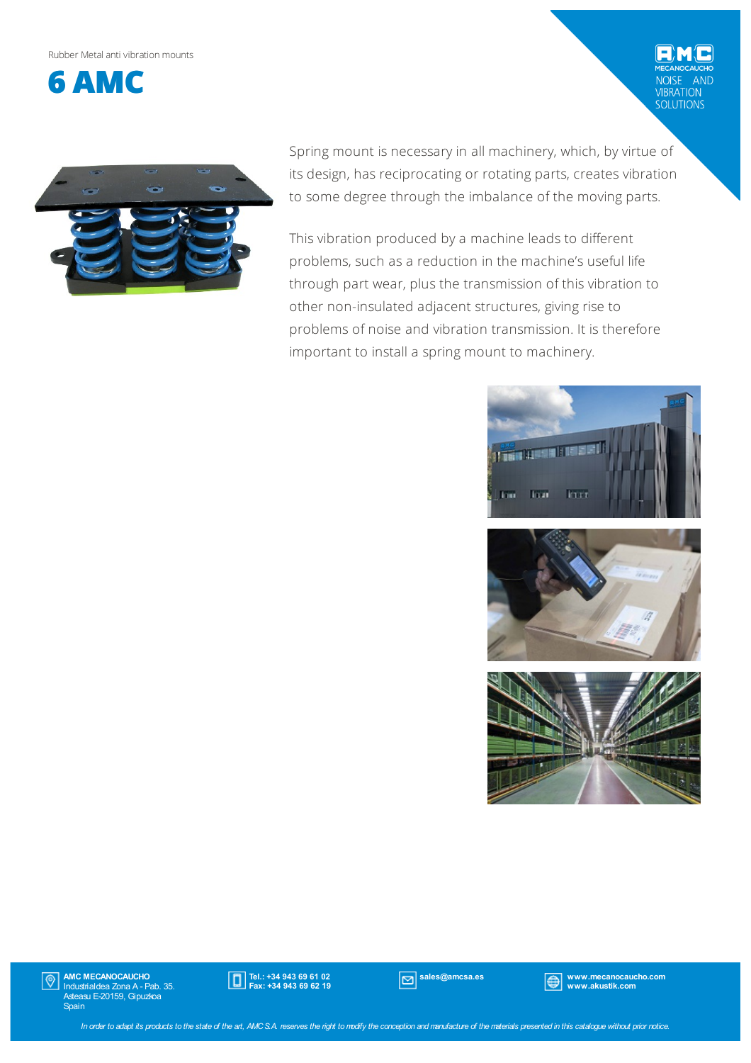Rubber Metalanti vibrationmounts



AND VIBRATION<br>SOLUTIONS



Spring mount is necessary in all machinery, which, by virtue of its design, has reciprocating or rotating parts, creates vibration to some degree through the imbalance of the moving parts.

This vibration produced by a machine leads to different problems, such as a reduction in the machine's useful life through part wear, plus the transmission of this vibration to other non-insulated adjacent structures, giving rise to problems of noise and vibration transmission. It is therefore important to install a spring mount to machinery.







AMC MECANOCAUCHO Industrialdea Zona A - Pab. 35. Asteasu E-20159, Gipuzkoa Spain  $|\mathbb{O}|$ 



sales@amcsa.es www.mecanocaucho.com www.akustik.com

In order to adapt its products to the state of the art, AMCS.A. reserves the right to modify the conception and manufacture of the materials presented in this catalogue without prior notice.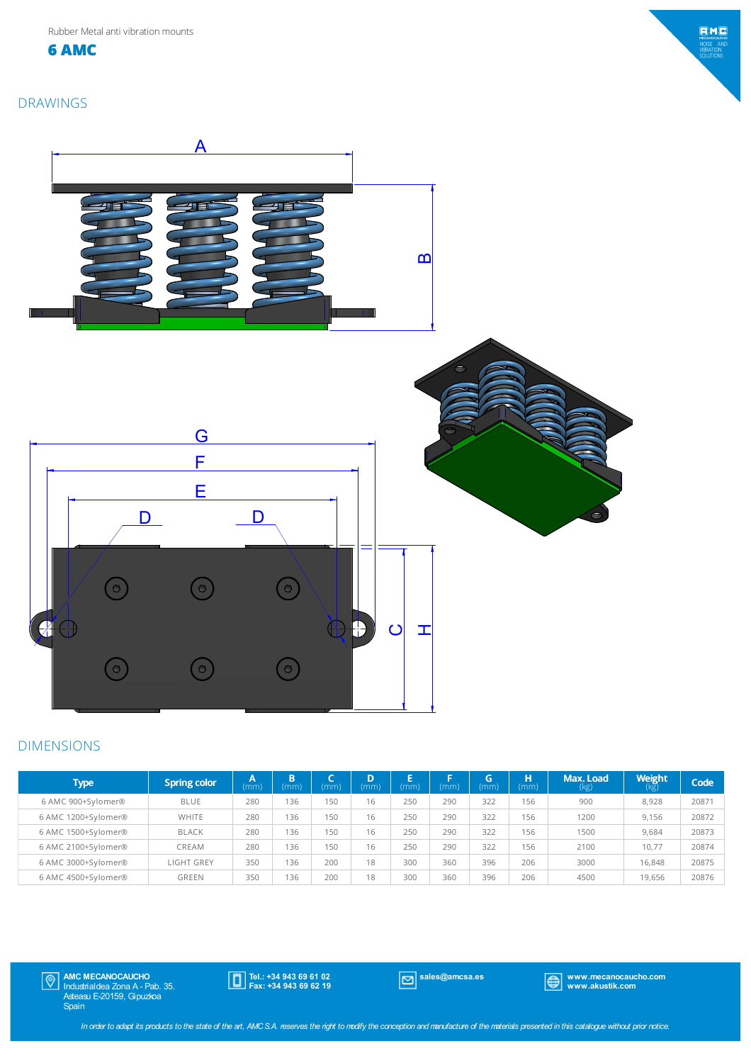**6 AMC**



#### DRAWINGS



#### DIMENSIONS

| <b>Type</b>         | <b>Spring color</b> | (mm) | B<br>(mm) | (mm) | D<br>(mm) | (mm) | (mm) | G<br>(mm) | н<br>(mm) | Max. Load<br>(kg) | <b>Weight</b> | Code  |
|---------------------|---------------------|------|-----------|------|-----------|------|------|-----------|-----------|-------------------|---------------|-------|
| 6 AMC 900+Sylomer®  | <b>BLUE</b>         | 280  | 136       | 150  | 16        | 250  | 290  | 322       | 156       | 900               | 8.928         | 20871 |
| 6 AMC 1200+Sylomer® | <b>WHITE</b>        | 280  | 136       | 150  | 16        | 250  | 290  | 322       | 156       | 1200              | 9.156         | 20872 |
| 6 AMC 1500+Sylomer® | <b>BLACK</b>        | 280  | 136       | 150  | 16        | 250  | 290  | 322       | 156       | 1500              | 9.684         | 20873 |
| 6 AMC 2100+Sylomer® | CREAM               | 280  | 136       | 150  | 16        | 250  | 290  | 322       | 156       | 2100              | 10.77         | 20874 |
| 6 AMC 3000+Sylomer® | <b>LIGHT GREY</b>   | 350  | 136       | 200  | 18        | 300  | 360  | 396       | 206       | 3000              | 16.848        | 20875 |
| 6 AMC 4500+Sylomer® | GREEN               | 350  | 136       | 200  | 18        | 300  | 360  | 396       | 206       | 4500              | 19.656        | 20876 |

AMC MECANOCAUCHO Industrialdea Zona A - Pab. 35. Asteasu E-20159, Gipuzkoa Spain

Tel.: +34 943 69 61 02 Fax: +34 943 69 62 19

sales@amcsa.es www.mecanocaucho.com www.akustik.com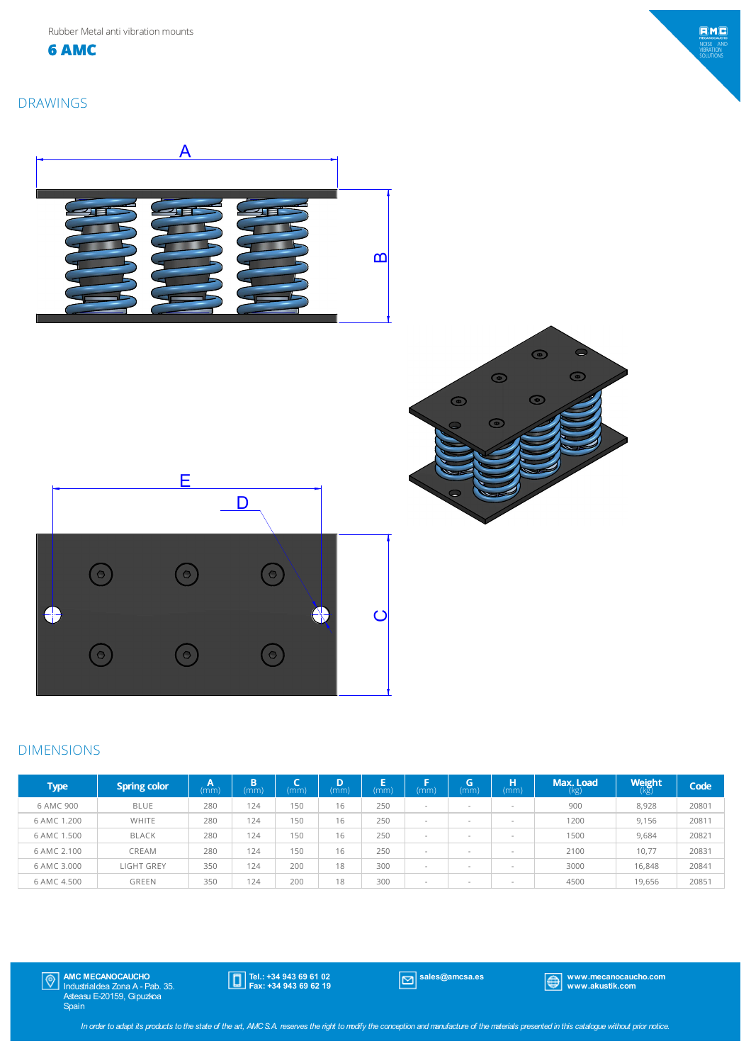**6 AMC**

## DRAWINGS









# DIMENSIONS

| <b>Type</b> | <b>Spring color</b> | A<br>(mm) | n<br>ы<br>(mm | (mm) | D<br>'mm | Е<br>mm) | mm)    | G<br>(mm)                | н<br>(mm)                | <b>Max. Load</b><br>(kg) | <b>Weight</b><br>(kg) | Code  |
|-------------|---------------------|-----------|---------------|------|----------|----------|--------|--------------------------|--------------------------|--------------------------|-----------------------|-------|
| 6 AMC 900   | <b>BLUE</b>         | 280       | 124           | 150  | 16       | 250      | $\sim$ | $\overline{\phantom{a}}$ | $\overline{\phantom{a}}$ | 900                      | 8,928                 | 20801 |
| 6 AMC 1.200 | WHITE               | 280       | 124           | 150  | 16       | 250      |        |                          | $\overline{\phantom{a}}$ | 1200                     | 9.156                 | 20811 |
| 6 AMC 1.500 | <b>BLACK</b>        | 280       | 124           | 150  | 16       | 250      | $\sim$ | $\overline{\phantom{a}}$ | $\overline{\phantom{a}}$ | 1500                     | 9,684                 | 20821 |
| 6 AMC 2.100 | CREAM               | 280       | 124           | 150  | 16       | 250      | $\sim$ | $\overline{\phantom{a}}$ | $\overline{\phantom{a}}$ | 2100                     | 10.77                 | 20831 |
| 6 AMC 3.000 | <b>LIGHT GREY</b>   | 350       | 124           | 200  | 18       | 300      | $\sim$ | $\overline{\phantom{a}}$ | $\overline{\phantom{a}}$ | 3000                     | 16,848                | 20841 |
| 6 AMC 4.500 | <b>GREEN</b>        | 350       | 124           | 200  | 18       | 300      | $\sim$ | $\overline{\phantom{a}}$ | $\overline{\phantom{a}}$ | 4500                     | 19.656                | 20851 |

AMC MECANOCAUCHO Industrialdea Zona A - Pab. 35. Asteasu E-20159, Gipuzkoa Spain

Tel.: +34 943 69 61 02 Fax: +34 943 69 62 19

sales@amcsa.es www.mecanocaucho.com www.akustik.com